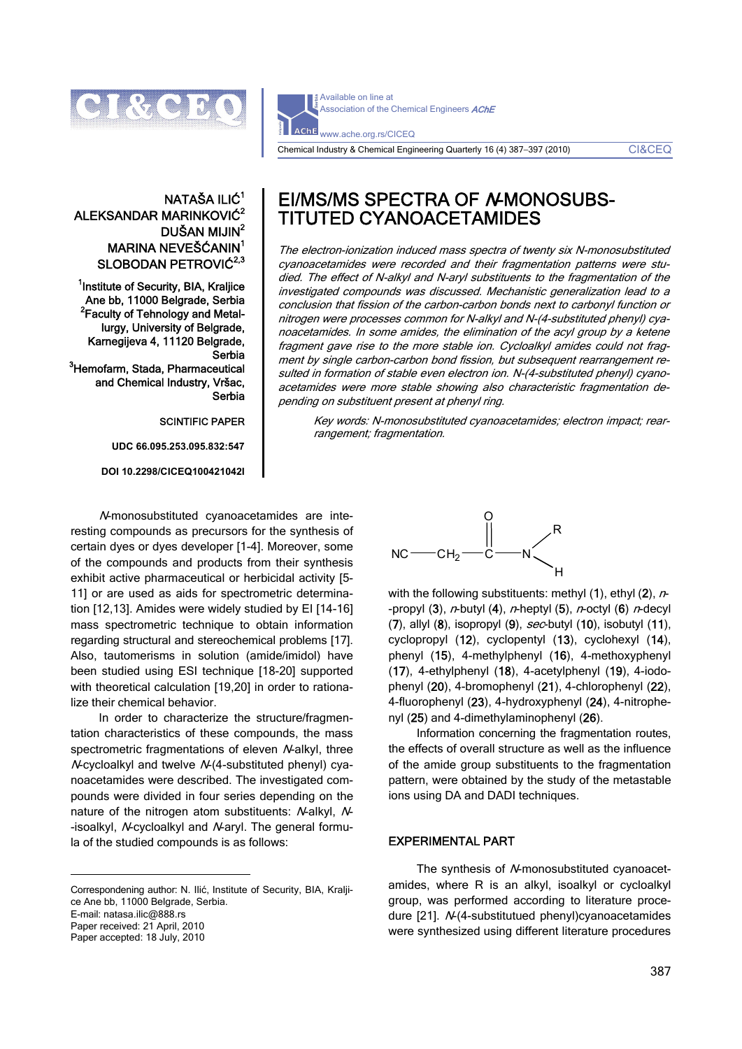

Available on line at Association of the Chemical Engineers **AChE AChE** www.ache.org.rs/CICEQ

Chemical Industry & Chemical Engineering Quarterly 16 (4) 387−397 (2010) CI&CEQ

## NATAŠA ILIĆ<sup>1</sup> ALEKSANDAR MARINKOVIĆ<sup>2</sup> DUŠAN MIJIN<sup>2</sup> MARINA NEVEŠĆANIN<sup>1</sup> SLOBODAN PETROVIĆ<sup>2,3</sup>

<sup>1</sup>Institute of Security, BIA, Kraljice Ane bb, 11000 Belgrade, Serbia <sup>2</sup> Faculty of Tehnology and Metallurgy, University of Belgrade, Karnegijeva 4, 11120 Belgrade, Serbia <sup>3</sup>Hemofarm, Stada, Pharmaceutical and Chemical Industry, Vršac, Serbia

SCINTIFIC PAPER

**UDC 66.095.253.095.832:547** 

**DOI 10.2298/CICEQ100421042I** 

# EI/MS/MS SPECTRA OF A-MONOSUBS-TITUTED CYANOACETAMIDES

The electron-ionization induced mass spectra of twenty six N-monosubstituted cyanoacetamides were recorded and their fragmentation patterns were studied. The effect of N-alkyl and N-aryl substituents to the fragmentation of the investigated compounds was discussed. Mechanistic generalization lead to a conclusion that fission of the carbon-carbon bonds next to carbonyl function or nitrogen were processes common for N-alkyl and N-(4-substituted phenyl) cyanoacetamides. In some amides, the elimination of the acyl group by a ketene fragment gave rise to the more stable ion. Cycloalkyl amides could not fragment by single carbon-carbon bond fission, but subsequent rearrangement resulted in formation of stable even electron ion. N-(4-substituted phenyl) cyanoacetamides were more stable showing also characteristic fragmentation depending on substituent present at phenyl ring.

Key words: N-monosubstituted cyanoacetamides; electron impact; rearrangement; fragmentation.

N-monosubstituted cyanoacetamides are interesting compounds as precursors for the synthesis of certain dyes or dyes developer [1-4]. Moreover, some of the compounds and products from their synthesis exhibit active pharmaceutical or herbicidal activity [5- 11] or are used as aids for spectrometric determination [12,13]. Amides were widely studied by EI [14-16] mass spectrometric technique to obtain information regarding structural and stereochemical problems [17]. Also, tautomerisms in solution (amide/imidol) have been studied using ESI technique [18-20] supported with theoretical calculation [19,20] in order to rationalize their chemical behavior.

In order to characterize the structure/fragmentation characteristics of these compounds, the mass spectrometric fragmentations of eleven N-alkyl, three N-cycloalkyl and twelve N-(4-substituted phenyl) cyanoacetamides were described. The investigated compounds were divided in four series depending on the nature of the nitrogen atom substituents: N-alkyl, N--isoalkyl, N-cycloalkyl and N-aryl. The general formula of the studied compounds is as follows:

Correspondening author: N. Ilić, Institute of Security, BIA, Kraljice Ane bb, 11000 Belgrade, Serbia.

 $\overline{a}$ 

Paper received: 21 April, 2010 Paper accepted: 18 July, 2010

сн $_2$ —с O N R NC H

with the following substituents: methyl  $(1)$ , ethyl  $(2)$ , n--propyl  $(3)$ , n-butyl  $(4)$ , n-heptyl  $(5)$ , n-octyl  $(6)$  n-decyl (7), allyl  $(8)$ , isopropyl  $(9)$ , sec-butyl  $(10)$ , isobutyl  $(11)$ , cyclopropyl (12), cyclopentyl (13), cyclohexyl (14), phenyl (15), 4-methylphenyl (16), 4-methoxyphenyl (17), 4-ethylphenyl (18), 4-acetylphenyl (19), 4-iodophenyl (20), 4-bromophenyl (21), 4-chlorophenyl (22), 4-fluorophenyl (23), 4-hydroxyphenyl (24), 4-nitrophenyl (25) and 4-dimethylaminophenyl (26).

Information concerning the fragmentation routes, the effects of overall structure as well as the influence of the amide group substituents to the fragmentation pattern, were obtained by the study of the metastable ions using DA and DADI techniques.

### EXPERIMENTAL PART

The synthesis of N-monosubstituted cyanoacetamides, where R is an alkyl, isoalkyl or cycloalkyl group, was performed according to literature procedure [21]. N-(4-substitutued phenyl)cyanoacetamides were synthesized using different literature procedures

E-mail: natasa.ilic@888.rs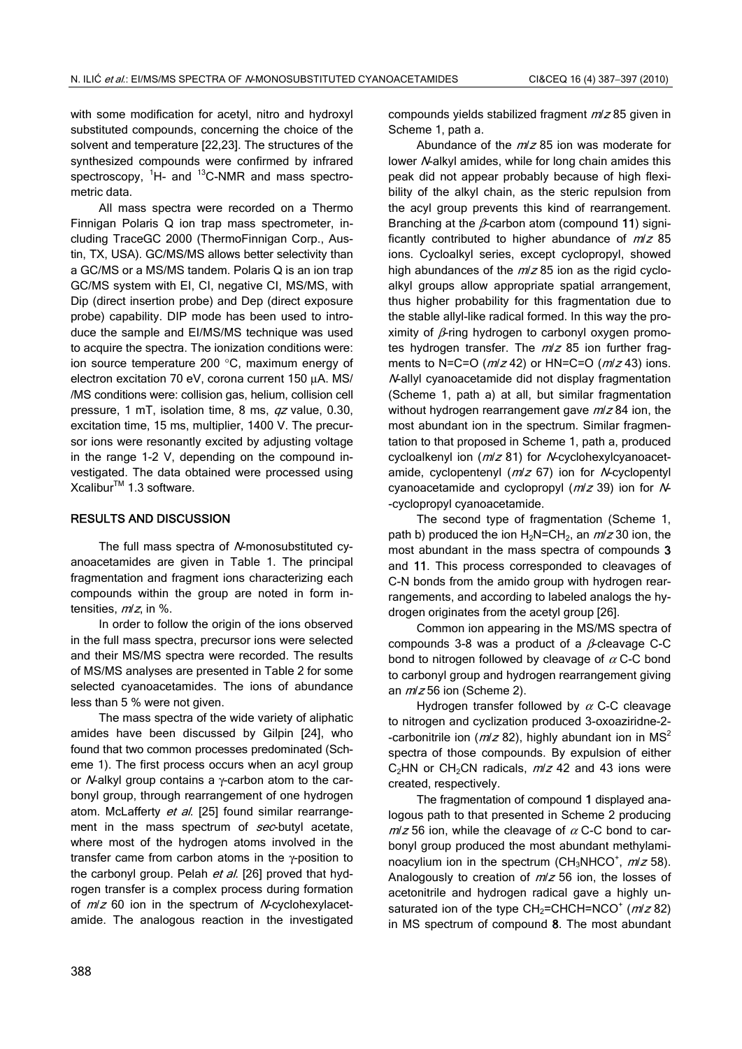with some modification for acetyl, nitro and hydroxyl substituted compounds, concerning the choice of the solvent and temperature [22,23]. The structures of the synthesized compounds were confirmed by infrared spectroscopy, <sup>1</sup>H- and <sup>13</sup>C-NMR and mass spectrometric data.

All mass spectra were recorded on a Thermo Finnigan Polaris Q ion trap mass spectrometer, including TraceGC 2000 (ThermoFinnigan Corp., Austin, TX, USA). GC/MS/MS allows better selectivity than a GC/MS or a MS/MS tandem. Polaris Q is an ion trap GC/MS system with EI, CI, negative CI, MS/MS, with Dip (direct insertion probe) and Dep (direct exposure probe) capability. DIP mode has been used to introduce the sample and EI/MS/MS technique was used to acquire the spectra. The ionization conditions were: ion source temperature 200 °C, maximum energy of electron excitation 70 eV, corona current 150 μA. MS/ /MS conditions were: collision gas, helium, collision cell pressure, 1 mT, isolation time, 8 ms, qz value, 0.30, excitation time, 15 ms, multiplier, 1400 V. The precursor ions were resonantly excited by adjusting voltage in the range 1-2 V, depending on the compound investigated. The data obtained were processed using Xcalibur<sup>™</sup> 1.3 software.

## RESULTS AND DISCUSSION

The full mass spectra of N-monosubstituted cyanoacetamides are given in Table 1. The principal fragmentation and fragment ions characterizing each compounds within the group are noted in form intensities,  $m/z$ , in %.

In order to follow the origin of the ions observed in the full mass spectra, precursor ions were selected and their MS/MS spectra were recorded. The results of MS/MS analyses are presented in Table 2 for some selected cyanoacetamides. The ions of abundance less than 5 % were not given.

The mass spectra of the wide variety of aliphatic amides have been discussed by Gilpin [24], who found that two common processes predominated (Scheme 1). The first process occurs when an acyl group or N-alkyl group contains a γ-carbon atom to the carbonyl group, through rearrangement of one hydrogen atom. McLafferty et al. [25] found similar rearrangement in the mass spectrum of sec-butyl acetate, where most of the hydrogen atoms involved in the transfer came from carbon atoms in the γ-position to the carbonyl group. Pelah et al. [26] proved that hydrogen transfer is a complex process during formation of  $m/z$  60 ion in the spectrum of N-cyclohexylacetamide. The analogous reaction in the investigated compounds yields stabilized fragment  $m/z$  85 given in Scheme 1, path a.

Abundance of the  $m/z$  85 ion was moderate for lower N-alkyl amides, while for long chain amides this peak did not appear probably because of high flexibility of the alkyl chain, as the steric repulsion from the acyl group prevents this kind of rearrangement. Branching at the  $\beta$ -carbon atom (compound 11) significantly contributed to higher abundance of  $m/z$  85 ions. Cycloalkyl series, except cyclopropyl, showed high abundances of the  $m/z$  85 ion as the rigid cycloalkyl groups allow appropriate spatial arrangement, thus higher probability for this fragmentation due to the stable allyl-like radical formed. In this way the proximity of  $\beta$ -ring hydrogen to carbonyl oxygen promotes hydrogen transfer. The  $m/z$  85 ion further fragments to N=C=O ( $m/z$  42) or HN=C=O ( $m/z$  43) ions. N-allyl cyanoacetamide did not display fragmentation (Scheme 1, path a) at all, but similar fragmentation without hydrogen rearrangement gave  $m/z$  84 ion, the most abundant ion in the spectrum. Similar fragmentation to that proposed in Scheme 1, path a, produced cycloalkenyl ion ( $m/z$  81) for *N*-cyclohexylcyanoacetamide, cyclopentenyl  $(m/z 67)$  ion for N-cyclopentyl cyanoacetamide and cyclopropyl  $(m/z 39)$  ion for  $N-$ -cyclopropyl cyanoacetamide.

The second type of fragmentation (Scheme 1, path b) produced the ion  $H_2N=CH_2$ , an  $m/z$  30 ion, the most abundant in the mass spectra of compounds 3 and 11. This process corresponded to cleavages of C-N bonds from the amido group with hydrogen rearrangements, and according to labeled analogs the hydrogen originates from the acetyl group [26].

Common ion appearing in the MS/MS spectra of compounds 3-8 was a product of a  $\beta$ -cleavage C-C bond to nitrogen followed by cleavage of  $\alpha$  C-C bond to carbonyl group and hydrogen rearrangement giving an  $m/z$  56 ion (Scheme 2).

Hydrogen transfer followed by  $\alpha$  C-C cleavage to nitrogen and cyclization produced 3-oxoaziridne-2- -carbonitrile ion ( $m/z$  82), highly abundant ion in MS<sup>2</sup> spectra of those compounds. By expulsion of either  $C_2$ HN or CH<sub>2</sub>CN radicals,  $m/z$  42 and 43 ions were created, respectively.

The fragmentation of compound 1 displayed analogous path to that presented in Scheme 2 producing  $m/z$  56 ion, while the cleavage of  $\alpha$  C-C bond to carbonyl group produced the most abundant methylaminoacylium ion in the spectrum (CH<sub>3</sub>NHCO<sup>+</sup>,  $m/z$  58). Analogously to creation of  $m/z$  56 ion, the losses of acetonitrile and hydrogen radical gave a highly unsaturated ion of the type  $CH_2=CHCH=NCO^+$  ( $m/z$  82) in MS spectrum of compound 8. The most abundant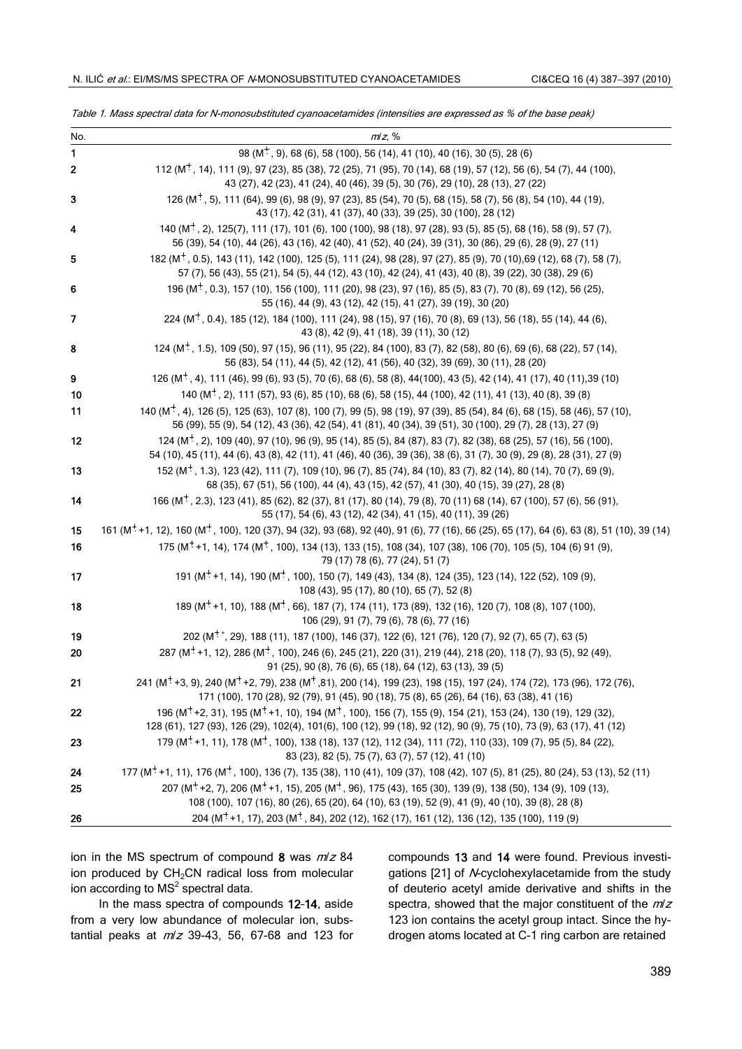| No.          | $m/z$ , %                                                                                                                                                                                                                                               |
|--------------|---------------------------------------------------------------------------------------------------------------------------------------------------------------------------------------------------------------------------------------------------------|
| $\mathbf{1}$ | 98 (M <sup>+</sup> , 9), 68 (6), 58 (100), 56 (14), 41 (10), 40 (16), 30 (5), 28 (6)                                                                                                                                                                    |
| $\bf 2$      | 112 (M <sup>+</sup> , 14), 111 (9), 97 (23), 85 (38), 72 (25), 71 (95), 70 (14), 68 (19), 57 (12), 56 (6), 54 (7), 44 (100),<br>43 (27), 42 (23), 41 (24), 40 (46), 39 (5), 30 (76), 29 (10), 28 (13), 27 (22)                                          |
| 3            | 126 (M <sup>+</sup> , 5), 111 (64), 99 (6), 98 (9), 97 (23), 85 (54), 70 (5), 68 (15), 58 (7), 56 (8), 54 (10), 44 (19),<br>43 (17), 42 (31), 41 (37), 40 (33), 39 (25), 30 (100), 28 (12)                                                              |
| 4            | 140 (M <sup>+</sup> , 2), 125(7), 111 (17), 101 (6), 100 (100), 98 (18), 97 (28), 93 (5), 85 (5), 68 (16), 58 (9), 57 (7),<br>56 (39), 54 (10), 44 (26), 43 (16), 42 (40), 41 (52), 40 (24), 39 (31), 30 (86), 29 (6), 28 (9), 27 (11)                  |
| 5            | 182 (M <sup>+</sup> , 0.5), 143 (11), 142 (100), 125 (5), 111 (24), 98 (28), 97 (27), 85 (9), 70 (10), 69 (12), 68 (7), 58 (7),<br>57 (7), 56 (43), 55 (21), 54 (5), 44 (12), 43 (10), 42 (24), 41 (43), 40 (8), 39 (22), 30 (38), 29 (6)               |
| 6            | 196 ( $M^+$ , 0.3), 157 (10), 156 (100), 111 (20), 98 (23), 97 (16), 85 (5), 83 (7), 70 (8), 69 (12), 56 (25),<br>55 (16), 44 (9), 43 (12), 42 (15), 41 (27), 39 (19), 30 (20)                                                                          |
| 7            | 224 ( $M^+$ , 0.4), 185 (12), 184 (100), 111 (24), 98 (15), 97 (16), 70 (8), 69 (13), 56 (18), 55 (14), 44 (6),<br>43 (8), 42 (9), 41 (18), 39 (11), 30 (12)                                                                                            |
| 8            | 124 (M <sup>+</sup> , 1.5), 109 (50), 97 (15), 96 (11), 95 (22), 84 (100), 83 (7), 82 (58), 80 (6), 69 (6), 68 (22), 57 (14),<br>56 (83), 54 (11), 44 (5), 42 (12), 41 (56), 40 (32), 39 (69), 30 (11), 28 (20)                                         |
| 9            | 126 (M <sup>+</sup> , 4), 111 (46), 99 (6), 93 (5), 70 (6), 68 (6), 58 (8), 44(100), 43 (5), 42 (14), 41 (17), 40 (11), 39 (10)                                                                                                                         |
| 10           | 140 (M <sup>+</sup> , 2), 111 (57), 93 (6), 85 (10), 68 (6), 58 (15), 44 (100), 42 (11), 41 (13), 40 (8), 39 (8)                                                                                                                                        |
| 11           | 140 (M <sup>+</sup> , 4), 126 (5), 125 (63), 107 (8), 100 (7), 99 (5), 98 (19), 97 (39), 85 (54), 84 (6), 68 (15), 58 (46), 57 (10),<br>56 (99), 55 (9), 54 (12), 43 (36), 42 (54), 41 (81), 40 (34), 39 (51), 30 (100), 29 (7), 28 (13), 27 (9)        |
| 12           | 124 (M <sup>+</sup> , 2), 109 (40), 97 (10), 96 (9), 95 (14), 85 (5), 84 (87), 83 (7), 82 (38), 68 (25), 57 (16), 56 (100),<br>54 (10), 45 (11), 44 (6), 43 (8), 42 (11), 41 (46), 40 (36), 39 (36), 38 (6), 31 (7), 30 (9), 29 (8), 28 (31), 27 (9)    |
| 13           | 152 (M <sup>+</sup> , 1.3), 123 (42), 111 (7), 109 (10), 96 (7), 85 (74), 84 (10), 83 (7), 82 (14), 80 (14), 70 (7), 69 (9),<br>68 (35), 67 (51), 56 (100), 44 (4), 43 (15), 42 (57), 41 (30), 40 (15), 39 (27), 28 (8)                                 |
| 14           | 166 (M <sup>+</sup> , 2.3), 123 (41), 85 (62), 82 (37), 81 (17), 80 (14), 79 (8), 70 (11) 68 (14), 67 (100), 57 (6), 56 (91),<br>55 (17), 54 (6), 43 (12), 42 (34), 41 (15), 40 (11), 39 (26)                                                           |
| 15           | 161 (M <sup>+</sup> +1, 12), 160 (M <sup>+</sup> , 100), 120 (37), 94 (32), 93 (68), 92 (40), 91 (6), 77 (16), 66 (25), 65 (17), 64 (6), 63 (8), 51 (10), 39 (14)                                                                                       |
| 16           | 175 ( $M^{\dagger}$ +1, 14), 174 ( $M^{\dagger}$ , 100), 134 (13), 133 (15), 108 (34), 107 (38), 106 (70), 105 (5), 104 (6) 91 (9),<br>79 (17) 78 (6), 77 (24), 51 (7)                                                                                  |
| 17           | 191 (M <sup>+</sup> +1, 14), 190 (M <sup>+</sup> , 100), 150 (7), 149 (43), 134 (8), 124 (35), 123 (14), 122 (52), 109 (9),<br>108 (43), 95 (17), 80 (10), 65 (7), 52 (8)                                                                               |
| 18           | 189 (M <sup>+</sup> +1, 10), 188 (M <sup>+</sup> , 66), 187 (7), 174 (11), 173 (89), 132 (16), 120 (7), 108 (8), 107 (100),<br>106 (29), 91 (7), 79 (6), 78 (6), 77 (16)                                                                                |
| 19           | 202 (M <sup>++</sup> , 29), 188 (11), 187 (100), 146 (37), 122 (6), 121 (76), 120 (7), 92 (7), 65 (7), 63 (5)                                                                                                                                           |
| 20           | 287 (M <sup>+</sup> +1, 12), 286 (M <sup>+</sup> , 100), 246 (6), 245 (21), 220 (31), 219 (44), 218 (20), 118 (7), 93 (5), 92 (49),<br>91 (25), 90 (8), 76 (6), 65 (18), 64 (12), 63 (13), 39 (5)                                                       |
| 21           | 241 (M <sup>+</sup> +3, 9), 240 (M <sup>+</sup> +2, 79), 238 (M <sup>+</sup> , 81), 200 (14), 199 (23), 198 (15), 197 (24), 174 (72), 173 (96), 172 (76),<br>171 (100), 170 (28), 92 (79), 91 (45), 90 (18), 75 (8), 65 (26), 64 (16), 63 (38), 41 (16) |
| 22           | 196 ( $M^+$ +2, 31), 195 ( $M^+$ +1, 10), 194 ( $M^+$ , 100), 156 (7), 155 (9), 154 (21), 153 (24), 130 (19), 129 (32),<br>128 (61), 127 (93), 126 (29), 102(4), 101(6), 100 (12), 99 (18), 92 (12), 90 (9), 75 (10), 73 (9), 63 (17), 41 (12)          |
| 23           | 179 (M <sup>+</sup> +1, 11), 178 (M <sup>+</sup> , 100), 138 (18), 137 (12), 112 (34), 111 (72), 110 (33), 109 (7), 95 (5), 84 (22),<br>83 (23), 82 (5), 75 (7), 63 (7), 57 (12), 41 (10)                                                               |
| 24           | 177 (M <sup>+</sup> +1, 11), 176 (M <sup>+</sup> , 100), 136 (7), 135 (38), 110 (41), 109 (37), 108 (42), 107 (5), 81 (25), 80 (24), 53 (13), 52 (11)                                                                                                   |
| 25           | 207 ( $M^+$ +2, 7), 206 ( $M^+$ +1, 15), 205 ( $M^+$ , 96), 175 (43), 165 (30), 139 (9), 138 (50), 134 (9), 109 (13),<br>108 (100), 107 (16), 80 (26), 65 (20), 64 (10), 63 (19), 52 (9), 41 (9), 40 (10), 39 (8), 28 (8)                               |
| 26           | 204 (M <sup>+</sup> +1, 17), 203 (M <sup>+</sup> , 84), 202 (12), 162 (17), 161 (12), 136 (12), 135 (100), 119 (9)                                                                                                                                      |
|              |                                                                                                                                                                                                                                                         |

| Table 1. Mass spectral data for N-monosubstituted cvanoacetamides (intensities are expressed as % of the base peak) |  |  |  |
|---------------------------------------------------------------------------------------------------------------------|--|--|--|
|                                                                                                                     |  |  |  |

ion in the MS spectrum of compound 8 was  $m/z$  84 ion produced by  $CH<sub>2</sub>CN$  radical loss from molecular ion according to MS $^2$  spectral data.

In the mass spectra of compounds 12–14, aside from a very low abundance of molecular ion, substantial peaks at  $m/z$  39-43, 56, 67-68 and 123 for compounds 13 and 14 were found. Previous investigations [21] of N-cyclohexylacetamide from the study of deuterio acetyl amide derivative and shifts in the spectra, showed that the major constituent of the  $m/z$ 123 ion contains the acetyl group intact. Since the hydrogen atoms located at C-1 ring carbon are retained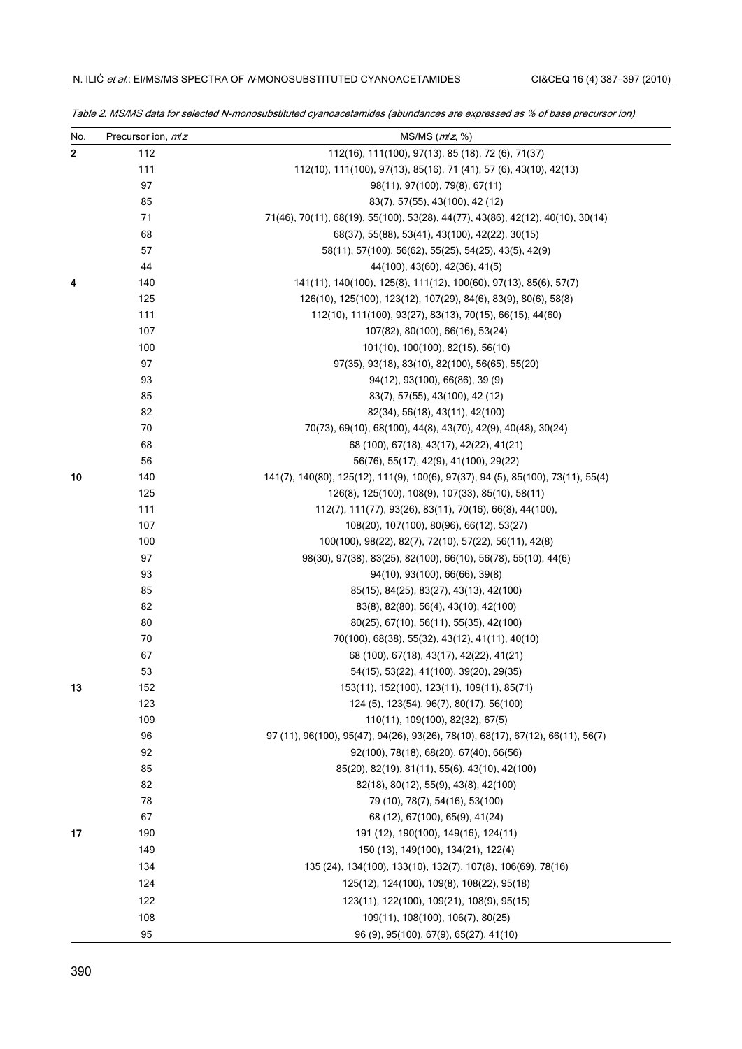| No.          | Precursor ion, m/z | $MS/MS$ ( $mlz$ , %)                                                             |
|--------------|--------------------|----------------------------------------------------------------------------------|
| $\mathbf{2}$ | 112                | 112(16), 111(100), 97(13), 85 (18), 72 (6), 71(37)                               |
|              | 111                | 112(10), 111(100), 97(13), 85(16), 71 (41), 57 (6), 43(10), 42(13)               |
|              | 97                 | 98(11), 97(100), 79(8), 67(11)                                                   |
|              | 85                 | 83(7), 57(55), 43(100), 42 (12)                                                  |
|              | 71                 | 71(46), 70(11), 68(19), 55(100), 53(28), 44(77), 43(86), 42(12), 40(10), 30(14)  |
|              | 68                 | 68(37), 55(88), 53(41), 43(100), 42(22), 30(15)                                  |
|              | 57                 | 58(11), 57(100), 56(62), 55(25), 54(25), 43(5), 42(9)                            |
|              | 44                 | 44(100), 43(60), 42(36), 41(5)                                                   |
| 4            | 140                | 141(11), 140(100), 125(8), 111(12), 100(60), 97(13), 85(6), 57(7)                |
|              | 125                | 126(10), 125(100), 123(12), 107(29), 84(6), 83(9), 80(6), 58(8)                  |
|              | 111                | 112(10), 111(100), 93(27), 83(13), 70(15), 66(15), 44(60)                        |
|              | 107                | 107(82), 80(100), 66(16), 53(24)                                                 |
|              | 100                | 101(10), 100(100), 82(15), 56(10)                                                |
|              | 97                 | 97(35), 93(18), 83(10), 82(100), 56(65), 55(20)                                  |
|              | 93                 | 94(12), 93(100), 66(86), 39(9)                                                   |
|              | 85                 | 83(7), 57(55), 43(100), 42 (12)                                                  |
|              | 82                 | 82(34), 56(18), 43(11), 42(100)                                                  |
|              | 70                 | 70(73), 69(10), 68(100), 44(8), 43(70), 42(9), 40(48), 30(24)                    |
|              | 68                 | 68 (100), 67(18), 43(17), 42(22), 41(21)                                         |
|              | 56                 | 56(76), 55(17), 42(9), 41(100), 29(22)                                           |
| 10           | 140                | 141(7), 140(80), 125(12), 111(9), 100(6), 97(37), 94 (5), 85(100), 73(11), 55(4) |
|              | 125                | 126(8), 125(100), 108(9), 107(33), 85(10), 58(11)                                |
|              | 111                | 112(7), 111(77), 93(26), 83(11), 70(16), 66(8), 44(100),                         |
|              | 107                | 108(20), 107(100), 80(96), 66(12), 53(27)                                        |
|              | 100                | 100(100), 98(22), 82(7), 72(10), 57(22), 56(11), 42(8)                           |
|              | 97                 | 98(30), 97(38), 83(25), 82(100), 66(10), 56(78), 55(10), 44(6)                   |
|              | 93                 | 94(10), 93(100), 66(66), 39(8)                                                   |
|              | 85                 | 85(15), 84(25), 83(27), 43(13), 42(100)                                          |
|              | 82                 | 83(8), 82(80), 56(4), 43(10), 42(100)                                            |
|              | 80                 | 80(25), 67(10), 56(11), 55(35), 42(100)                                          |
|              | 70                 | 70(100), 68(38), 55(32), 43(12), 41(11), 40(10)                                  |
|              | 67                 | 68 (100), 67(18), 43(17), 42(22), 41(21)                                         |
|              | 53                 | 54(15), 53(22), 41(100), 39(20), 29(35)                                          |
| 13           | 152                | 153(11), 152(100), 123(11), 109(11), 85(71)                                      |
|              | 123                | 124 (5), 123(54), 96(7), 80(17), 56(100)                                         |
|              | 109                | 110(11), 109(100), 82(32), 67(5)                                                 |
|              | 96                 | 97 (11), 96(100), 95(47), 94(26), 93(26), 78(10), 68(17), 67(12), 66(11), 56(7)  |
|              | 92                 | 92(100), 78(18), 68(20), 67(40), 66(56)                                          |
|              | 85                 | 85(20), 82(19), 81(11), 55(6), 43(10), 42(100)                                   |
|              | 82                 | 82(18), 80(12), 55(9), 43(8), 42(100)                                            |
|              | 78                 | 79 (10), 78(7), 54(16), 53(100)                                                  |
|              | 67                 | 68 (12), 67(100), 65(9), 41(24)                                                  |
| 17           | 190                | 191 (12), 190(100), 149(16), 124(11)                                             |
|              | 149                | 150 (13), 149(100), 134(21), 122(4)                                              |
|              | 134                | 135 (24), 134(100), 133(10), 132(7), 107(8), 106(69), 78(16)                     |
|              | 124                | 125(12), 124(100), 109(8), 108(22), 95(18)                                       |
|              | 122                | 123(11), 122(100), 109(21), 108(9), 95(15)                                       |
|              | 108                | 109(11), 108(100), 106(7), 80(25)                                                |
|              | 95                 | 96 (9), 95(100), 67(9), 65(27), 41(10)                                           |
|              |                    |                                                                                  |

Table 2. MS/MS data for selected N-monosubstituted cyanoacetamides (abundances are expressed as % of base precursor ion)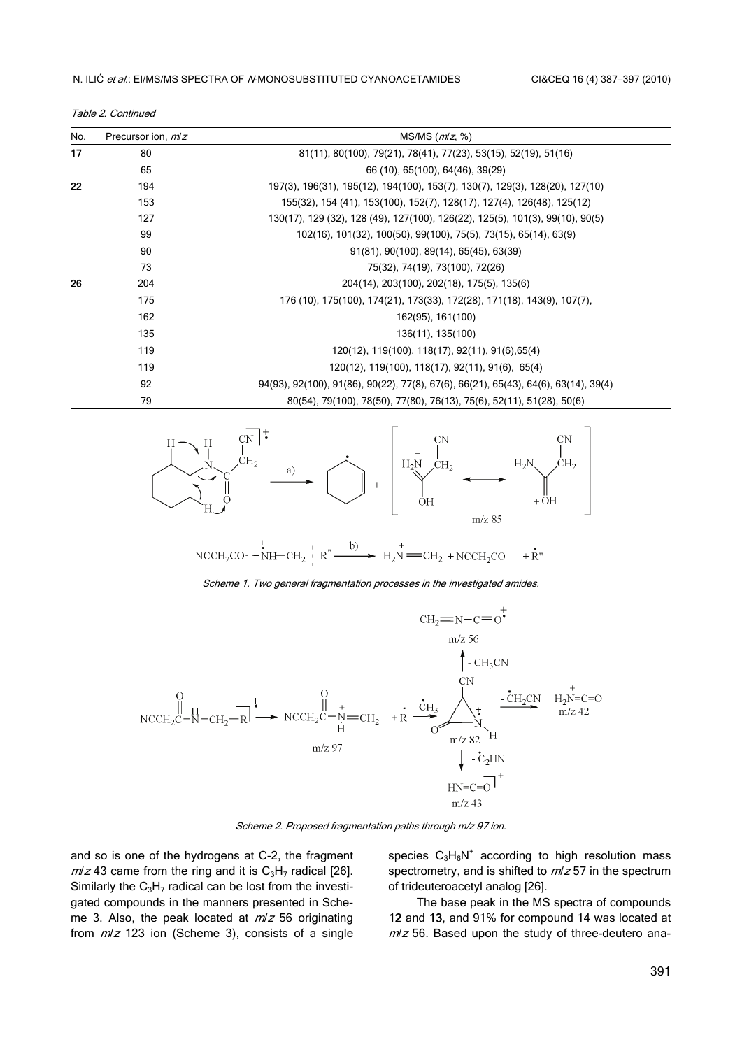| No. | Precursor ion, <i>m/z</i> | $MS/MS$ ( $m/z$ , %)                                                                |  |  |  |  |
|-----|---------------------------|-------------------------------------------------------------------------------------|--|--|--|--|
| 17  | 80                        | 81(11), 80(100), 79(21), 78(41), 77(23), 53(15), 52(19), 51(16)                     |  |  |  |  |
|     | 65                        | 66 (10), 65(100), 64(46), 39(29)                                                    |  |  |  |  |
| 22  | 194                       | 197(3), 196(31), 195(12), 194(100), 153(7), 130(7), 129(3), 128(20), 127(10)        |  |  |  |  |
|     | 153                       | 155(32), 154 (41), 153(100), 152(7), 128(17), 127(4), 126(48), 125(12)              |  |  |  |  |
|     | 127                       | 130(17), 129 (32), 128 (49), 127(100), 126(22), 125(5), 101(3), 99(10), 90(5)       |  |  |  |  |
|     | 99                        | 102(16), 101(32), 100(50), 99(100), 75(5), 73(15), 65(14), 63(9)                    |  |  |  |  |
|     | 90                        | 91(81), 90(100), 89(14), 65(45), 63(39)                                             |  |  |  |  |
|     | 73                        | 75(32), 74(19), 73(100), 72(26)                                                     |  |  |  |  |
| 26  | 204                       | 204(14), 203(100), 202(18), 175(5), 135(6)                                          |  |  |  |  |
|     | 175                       | 176 (10), 175(100), 174(21), 173(33), 172(28), 171(18), 143(9), 107(7),             |  |  |  |  |
|     | 162                       | 162(95), 161(100)                                                                   |  |  |  |  |
|     | 135                       | 136(11), 135(100)                                                                   |  |  |  |  |
|     | 119                       | 120(12), 119(100), 118(17), 92(11), 91(6), 65(4)                                    |  |  |  |  |
|     | 119                       | 120(12), 119(100), 118(17), 92(11), 91(6), 65(4)                                    |  |  |  |  |
|     | 92                        | 94(93), 92(100), 91(86), 90(22), 77(8), 67(6), 66(21), 65(43), 64(6), 63(14), 39(4) |  |  |  |  |





79 80(54), 79(100), 78(50), 77(80), 76(13), 75(6), 52(11), 51(28), 50(6)

$$
NACH_2CO \xrightarrow{!} \xrightarrow{!} \xrightarrow{!} CH_2 \xrightarrow{!} R \xrightarrow{!} H_2N \xrightarrow{+} CH_2 + NICH_2CO + R'
$$

Scheme 1. Two general fragmentation processes in the investigated amides.



Scheme 2. Proposed fragmentation paths through m/z 97 ion.

and so is one of the hydrogens at C-2, the fragment  $m/z$  43 came from the ring and it is  $C_3H_7$  radical [26]. Similarly the  $C_3H_7$  radical can be lost from the investigated compounds in the manners presented in Scheme 3. Also, the peak located at  $m/z$  56 originating from  $m/z$  123 ion (Scheme 3), consists of a single

species  $C_3H_6N^+$  according to high resolution mass spectrometry, and is shifted to  $m/z$  57 in the spectrum of trideuteroacetyl analog [26].

The base peak in the MS spectra of compounds 12 and 13, and 91% for compound 14 was located at  $m/z$  56. Based upon the study of three-deutero ana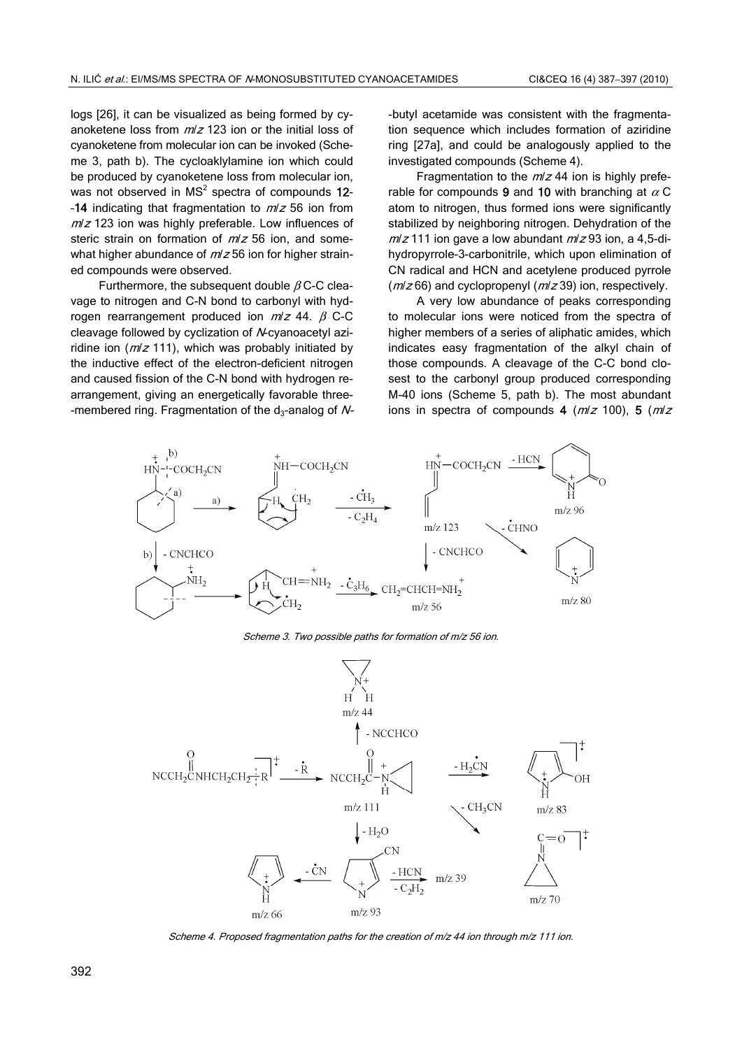logs [26], it can be visualized as being formed by cyanoketene loss from  $m/z$  123 ion or the initial loss of cyanoketene from molecular ion can be invoked (Scheme 3, path b). The cycloaklylamine ion which could be produced by cyanoketene loss from molecular ion, was not observed in MS<sup>2</sup> spectra of compounds  $12$ --14 indicating that fragmentation to  $m/z$  56 ion from  $m/z$  123 ion was highly preferable. Low influences of steric strain on formation of  $m/z$  56 ion, and somewhat higher abundance of  $m/z$  56 ion for higher strained compounds were observed.

Furthermore, the subsequent double  $\beta$  C-C cleavage to nitrogen and C-N bond to carbonyl with hydrogen rearrangement produced ion  $m/z$  44.  $β$  C-C cleavage followed by cyclization of N-cyanoacetyl aziridine ion ( $m/z$  111), which was probably initiated by the inductive effect of the electron-deficient nitrogen and caused fission of the C-N bond with hydrogen rearrangement, giving an energetically favorable three- -membered ring. Fragmentation of the  $d_3$ -analog of N- -butyl acetamide was consistent with the fragmentation sequence which includes formation of aziridine ring [27a], and could be analogously applied to the investigated compounds (Scheme 4).

Fragmentation to the  $m/z$  44 ion is highly preferable for compounds 9 and 10 with branching at  $\alpha$  C atom to nitrogen, thus formed ions were significantly stabilized by neighboring nitrogen. Dehydration of the  $m/z$  111 ion gave a low abundant  $m/z$  93 ion, a 4,5-dihydropyrrole-3-carbonitrile, which upon elimination of CN radical and HCN and acetylene produced pyrrole  $(m/z 66)$  and cyclopropenyl ( $m/z 39$ ) ion, respectively.

A very low abundance of peaks corresponding to molecular ions were noticed from the spectra of higher members of a series of aliphatic amides, which indicates easy fragmentation of the alkyl chain of those compounds. A cleavage of the C-C bond closest to the carbonyl group produced corresponding M-40 ions (Scheme 5, path b). The most abundant ions in spectra of compounds 4 ( $m/z$  100), 5 ( $m/z$ 



Scheme 3. Two possible paths for formation of m/z 56 ion.



Scheme 4. Proposed fragmentation paths for the creation of m/z 44 ion through m/z 111 ion.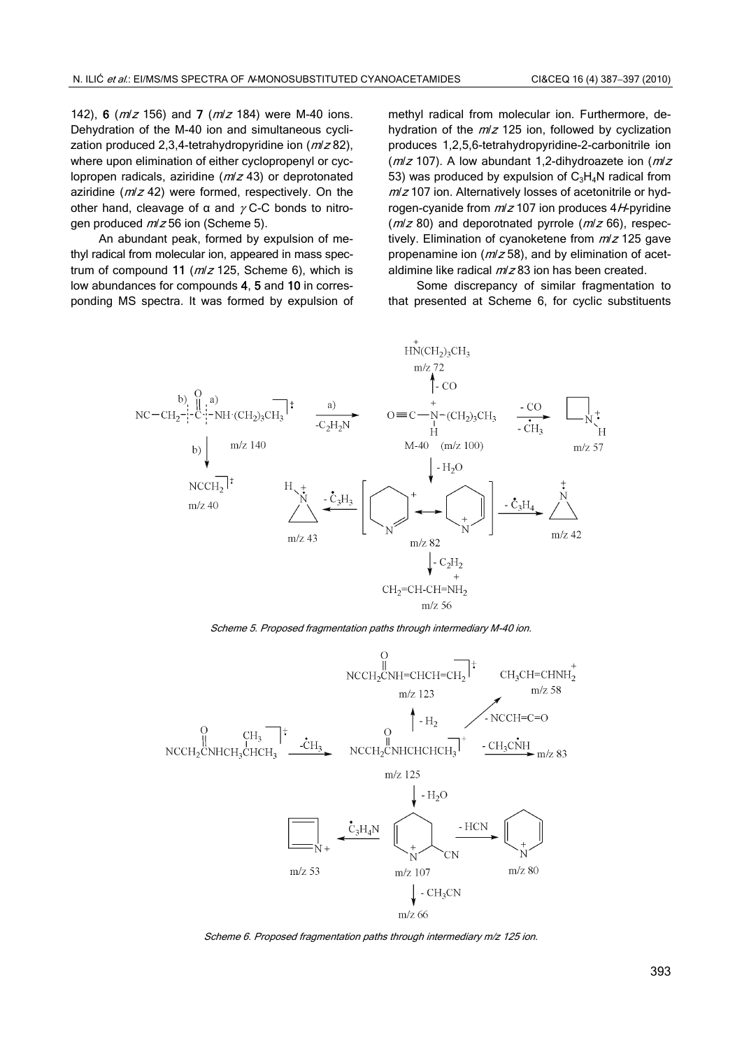142), 6 ( $m/z$  156) and 7 ( $m/z$  184) were M-40 ions. Dehydration of the M-40 ion and simultaneous cyclization produced 2,3,4-tetrahydropyridine ion  $(m/z 82)$ , where upon elimination of either cyclopropenyl or cyclopropen radicals, aziridine  $(m/z 43)$  or deprotonated aziridine ( $m/z$  42) were formed, respectively. On the other hand, cleavage of  $\alpha$  and  $\gamma$  C-C bonds to nitrogen produced  $m/z$  56 ion (Scheme 5).

An abundant peak, formed by expulsion of methyl radical from molecular ion, appeared in mass spectrum of compound 11 ( $m/z$  125, Scheme 6), which is low abundances for compounds 4, 5 and 10 in corresponding MS spectra. It was formed by expulsion of methyl radical from molecular ion. Furthermore, dehydration of the  $m/z$  125 ion, followed by cyclization produces 1,2,5,6-tetrahydropyridine-2-carbonitrile ion ( $m/z$  107). A low abundant 1,2-dihydroazete ion ( $m/z$ 53) was produced by expulsion of  $C_3H_4N$  radical from  $m/z$  107 ion. Alternatively losses of acetonitrile or hydrogen-cyanide from  $m/z$  107 ion produces 4H-pyridine  $(m/z 80)$  and deporotnated pyrrole  $(m/z 66)$ , respectively. Elimination of cyanoketene from m/z 125 gave propenamine ion ( $m/z$  58), and by elimination of acetaldimine like radical  $m/z$ 83 ion has been created.

Some discrepancy of similar fragmentation to that presented at Scheme 6, for cyclic substituents



Scheme 5. Proposed fragmentation paths through intermediary M-40 ion.



Scheme 6. Proposed fragmentation paths through intermediary m/z 125 ion.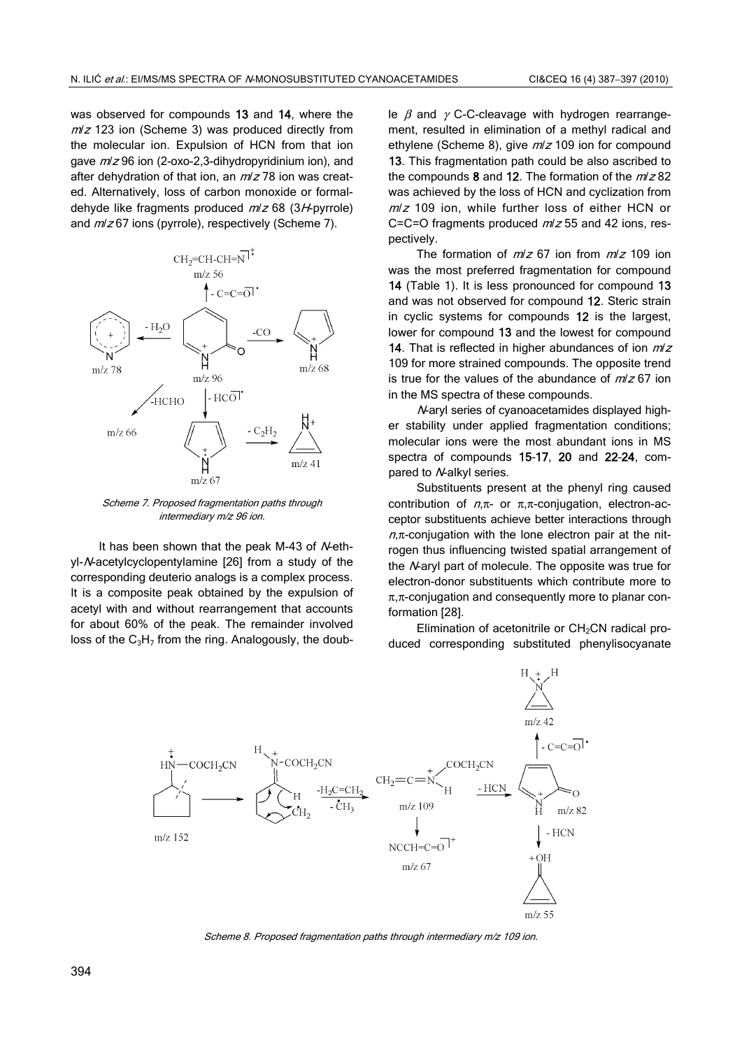was observed for compounds 13 and 14, where the  $m/z$  123 ion (Scheme 3) was produced directly from the molecular ion. Expulsion of HCN from that ion gave  $m/z$  96 ion (2-oxo-2,3-dihydropyridinium ion), and after dehydration of that ion, an  $m/z$  78 ion was created. Alternatively, loss of carbon monoxide or formaldehyde like fragments produced  $m/z$  68 (3H-pyrrole) and  $m/z$  67 ions (pyrrole), respectively (Scheme 7).



Scheme 7. Proposed fragmentation paths through intermediary m/z 96 ion.

It has been shown that the peak M-43 of N-ethyl-N-acetylcyclopentylamine [26] from a study of the corresponding deuterio analogs is a complex process. It is a composite peak obtained by the expulsion of acetyl with and without rearrangement that accounts for about 60% of the peak. The remainder involved loss of the  $C_3H_7$  from the ring. Analogously, the double  $\beta$  and  $\gamma$  C-C-cleavage with hydrogen rearrangement, resulted in elimination of a methyl radical and ethylene (Scheme 8), give  $m/z$  109 ion for compound 13. This fragmentation path could be also ascribed to the compounds 8 and 12. The formation of the  $m/z$  82 was achieved by the loss of HCN and cyclization from  $m/z$  109 ion, while further loss of either HCN or C=C=O fragments produced  $m/z$  55 and 42 ions, respectively.

The formation of  $m/z$  67 ion from  $m/z$  109 ion was the most preferred fragmentation for compound 14 (Table 1). It is less pronounced for compound 13 and was not observed for compound 12. Steric strain in cyclic systems for compounds 12 is the largest, lower for compound 13 and the lowest for compound 14. That is reflected in higher abundances of ion  $m/z$ 109 for more strained compounds. The opposite trend is true for the values of the abundance of  $m/z$  67 ion in the MS spectra of these compounds.

N-aryl series of cyanoacetamides displayed higher stability under applied fragmentation conditions; molecular ions were the most abundant ions in MS spectra of compounds 15–17, 20 and 22–24, compared to N-alkyl series.

Substituents present at the phenyl ring caused contribution of  $n, \pi$ - or  $\pi, \pi$ -conjugation, electron-acceptor substituents achieve better interactions through  $n, \pi$ -conjugation with the lone electron pair at the nitrogen thus influencing twisted spatial arrangement of the N-aryl part of molecule. The opposite was true for electron-donor substituents which contribute more to  $\pi$ , $\pi$ -conjugation and consequently more to planar conformation [28].

Elimination of acetonitrile or CH<sub>2</sub>CN radical produced corresponding substituted phenylisocyanate



Scheme 8. Proposed fragmentation paths through intermediary m/z 109 ion.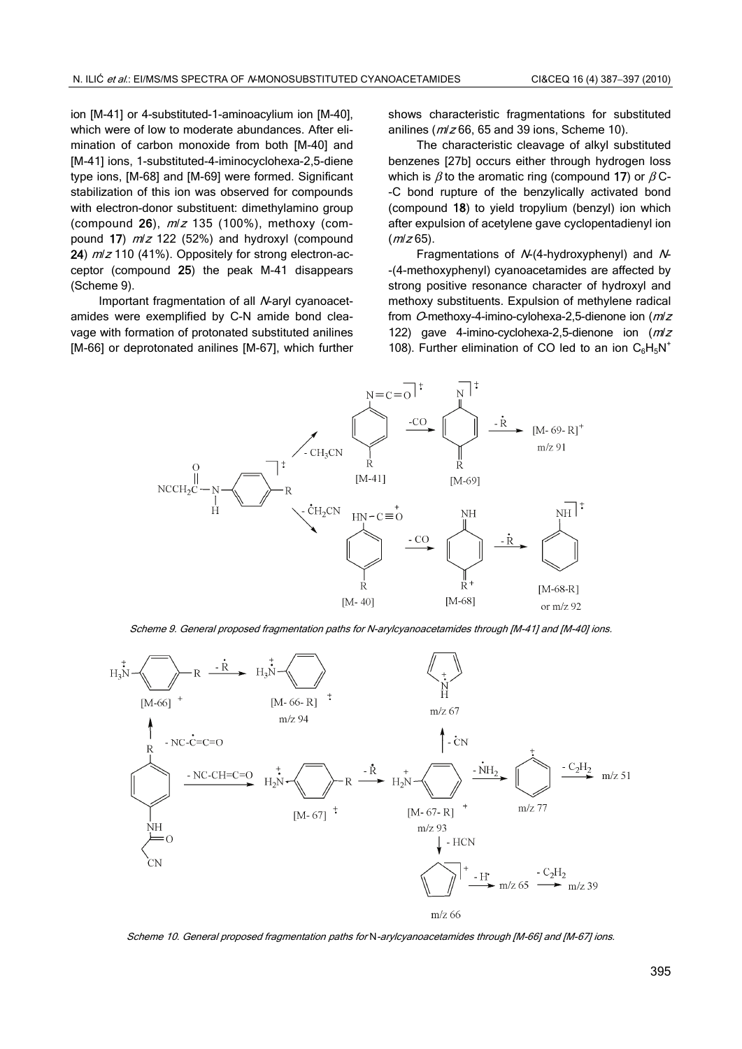ion [M-41] or 4-substituted-1-aminoacylium ion [M-40], which were of low to moderate abundances. After elimination of carbon monoxide from both [M-40] and [M-41] ions, 1-substituted-4-iminocyclohexa-2,5-diene type ions, [M-68] and [M-69] were formed. Significant stabilization of this ion was observed for compounds with electron-donor substituent: dimethylamino group (compound 26),  $m/z$  135 (100%), methoxy (compound 17)  $m/z$  122 (52%) and hydroxyl (compound 24)  $m/z$  110 (41%). Oppositely for strong electron-acceptor (compound 25) the peak M-41 disappears (Scheme 9).

Important fragmentation of all N-aryl cyanoacetamides were exemplified by C-N amide bond cleavage with formation of protonated substituted anilines [M-66] or deprotonated anilines [M-67], which further shows characteristic fragmentations for substituted anilines (m/z 66, 65 and 39 ions, Scheme 10).

The characteristic cleavage of alkyl substituted benzenes [27b] occurs either through hydrogen loss which is  $\beta$  to the aromatic ring (compound 17) or  $\beta$  C--C bond rupture of the benzylically activated bond (compound 18) to yield tropylium (benzyl) ion which after expulsion of acetylene gave cyclopentadienyl ion  $(m/z 65)$ .

Fragmentations of N-(4-hydroxyphenyl) and N- -(4-methoxyphenyl) cyanoacetamides are affected by strong positive resonance character of hydroxyl and methoxy substituents. Expulsion of methylene radical from O-methoxy-4-imino-cylohexa-2,5-dienone ion (mlz 122) gave 4-imino-cyclohexa-2,5-dienone ion (mlz 108). Further elimination of CO led to an ion  $C_6H_5N^+$ 



Scheme 9. General proposed fragmentation paths for N-arylcyanoacetamides through [M-41] and [M-40] ions.



Scheme 10. General proposed fragmentation paths for N-arylcyanoacetamides through [M-66] and [M-67] ions.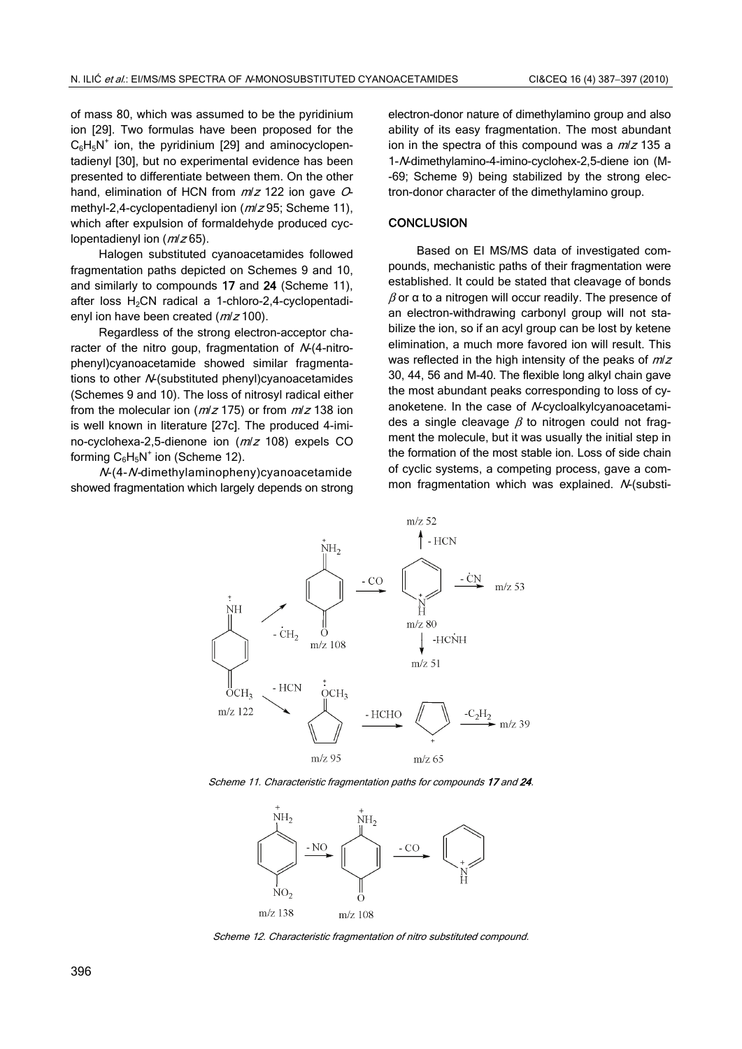of mass 80, which was assumed to be the pyridinium ion [29]. Two formulas have been proposed for the  $C_6H_5N^+$  ion, the pyridinium [29] and aminocyclopentadienyl [30], but no experimental evidence has been presented to differentiate between them. On the other hand, elimination of HCN from  $m/z$  122 ion gave  $O$ methyl-2,4-cyclopentadienyl ion ( $m/z$ 95; Scheme 11), which after expulsion of formaldehyde produced cyclopentadienyl ion  $(m/z 65)$ .

Halogen substituted cyanoacetamides followed fragmentation paths depicted on Schemes 9 and 10, and similarly to compounds 17 and 24 (Scheme 11), after loss  $H_2CN$  radical a 1-chloro-2,4-cyclopentadienyl ion have been created ( $m/z$  100).

Regardless of the strong electron-acceptor character of the nitro goup, fragmentation of N-(4-nitrophenyl)cyanoacetamide showed similar fragmentations to other N-(substituted phenyl)cyanoacetamides (Schemes 9 and 10). The loss of nitrosyl radical either from the molecular ion ( $m/z$  175) or from  $m/z$  138 ion is well known in literature [27c]. The produced 4-imino-cyclohexa-2,5-dienone ion (m/<sup>z</sup> 108) expels CO forming  $C_6H_5N^+$  ion (Scheme 12).

N-(4-N-dimethylaminopheny)cyanoacetamide showed fragmentation which largely depends on strong electron-donor nature of dimethylamino group and also ability of its easy fragmentation. The most abundant ion in the spectra of this compound was a  $m/z$  135 a 1-N-dimethylamino-4-imino-cyclohex-2,5-diene ion (M- -69; Scheme 9) being stabilized by the strong electron-donor character of the dimethylamino group.

#### **CONCLUSION**

Based on EI MS/MS data of investigated compounds, mechanistic paths of their fragmentation were established. It could be stated that cleavage of bonds  $β$  or α to a nitrogen will occur readily. The presence of an electron-withdrawing carbonyl group will not stabilize the ion, so if an acyl group can be lost by ketene elimination, a much more favored ion will result. This was reflected in the high intensity of the peaks of  $m/z$ 30, 44, 56 and M-40. The flexible long alkyl chain gave the most abundant peaks corresponding to loss of cyanoketene. In the case of *N*-cycloalkylcyanoacetamides a single cleavage  $\beta$  to nitrogen could not fragment the molecule, but it was usually the initial step in the formation of the most stable ion. Loss of side chain of cyclic systems, a competing process, gave a common fragmentation which was explained.  $N$ -(substi-



Scheme 11. Characteristic fragmentation paths for compounds 17 and 24.



Scheme 12. Characteristic fragmentation of nitro substituted compound.